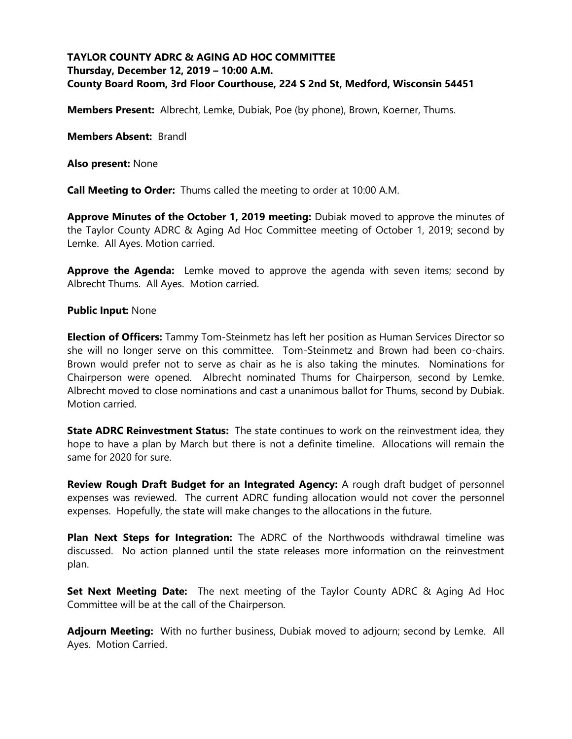# **TAYLOR COUNTY ADRC & AGING AD HOC COMMITTEE Thursday, December 12, 2019 – 10:00 A.M. County Board Room, 3rd Floor Courthouse, 224 S 2nd St, Medford, Wisconsin 54451**

**Members Present:** Albrecht, Lemke, Dubiak, Poe (by phone), Brown, Koerner, Thums.

**Members Absent:** Brandl

**Also present:** None

**Call Meeting to Order:** Thums called the meeting to order at 10:00 A.M.

**Approve Minutes of the October 1, 2019 meeting:** Dubiak moved to approve the minutes of the Taylor County ADRC & Aging Ad Hoc Committee meeting of October 1, 2019; second by Lemke. All Ayes. Motion carried.

**Approve the Agenda:** Lemke moved to approve the agenda with seven items; second by Albrecht Thums. All Ayes. Motion carried.

#### **Public Input:** None

**Election of Officers:** Tammy Tom-Steinmetz has left her position as Human Services Director so she will no longer serve on this committee. Tom-Steinmetz and Brown had been co-chairs. Brown would prefer not to serve as chair as he is also taking the minutes. Nominations for Chairperson were opened. Albrecht nominated Thums for Chairperson, second by Lemke. Albrecht moved to close nominations and cast a unanimous ballot for Thums, second by Dubiak. Motion carried.

**State ADRC Reinvestment Status:** The state continues to work on the reinvestment idea, they hope to have a plan by March but there is not a definite timeline. Allocations will remain the same for 2020 for sure.

**Review Rough Draft Budget for an Integrated Agency:** A rough draft budget of personnel expenses was reviewed. The current ADRC funding allocation would not cover the personnel expenses. Hopefully, the state will make changes to the allocations in the future.

**Plan Next Steps for Integration:** The ADRC of the Northwoods withdrawal timeline was discussed. No action planned until the state releases more information on the reinvestment plan.

**Set Next Meeting Date:** The next meeting of the Taylor County ADRC & Aging Ad Hoc Committee will be at the call of the Chairperson.

**Adjourn Meeting:** With no further business, Dubiak moved to adjourn; second by Lemke. All Ayes. Motion Carried.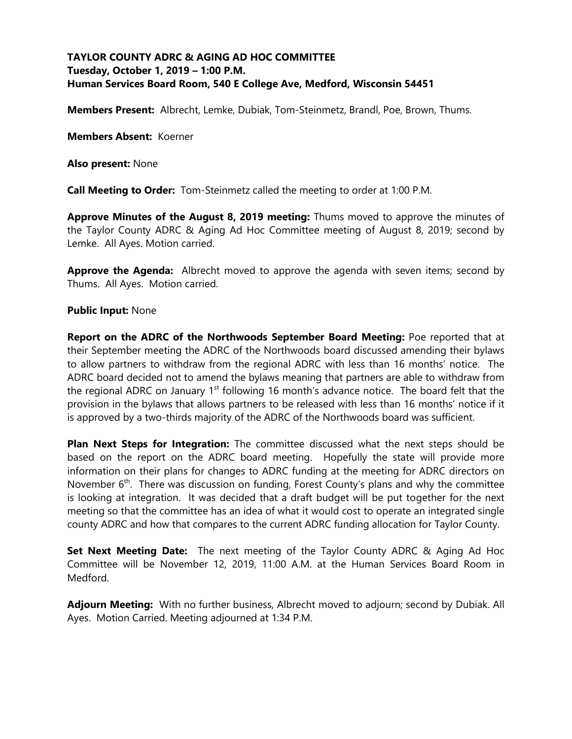# **TAYLOR COUNTY ADRC & AGING AD HOC COMMITTEE Tuesday, October 1, 2019 – 1:00 P.M. Human Services Board Room, 540 E College Ave, Medford, Wisconsin 54451**

**Members Present:** Albrecht, Lemke, Dubiak, Tom-Steinmetz, Brandl, Poe, Brown, Thums.

**Members Absent:** Koerner

**Also present:** None

**Call Meeting to Order:** Tom-Steinmetz called the meeting to order at 1:00 P.M.

**Approve Minutes of the August 8, 2019 meeting:** Thums moved to approve the minutes of the Taylor County ADRC & Aging Ad Hoc Committee meeting of August 8, 2019; second by Lemke. All Ayes. Motion carried.

**Approve the Agenda:** Albrecht moved to approve the agenda with seven items; second by Thums. All Ayes. Motion carried.

#### **Public Input:** None

**Report on the ADRC of the Northwoods September Board Meeting:** Poe reported that at their September meeting the ADRC of the Northwoods board discussed amending their bylaws to allow partners to withdraw from the regional ADRC with less than 16 months' notice. The ADRC board decided not to amend the bylaws meaning that partners are able to withdraw from the regional ADRC on January  $1<sup>st</sup>$  following 16 month's advance notice. The board felt that the provision in the bylaws that allows partners to be released with less than 16 months' notice if it is approved by a two-thirds majority of the ADRC of the Northwoods board was sufficient.

**Plan Next Steps for Integration:** The committee discussed what the next steps should be based on the report on the ADRC board meeting. Hopefully the state will provide more information on their plans for changes to ADRC funding at the meeting for ADRC directors on November 6<sup>th</sup>. There was discussion on funding, Forest County's plans and why the committee is looking at integration. It was decided that a draft budget will be put together for the next meeting so that the committee has an idea of what it would cost to operate an integrated single county ADRC and how that compares to the current ADRC funding allocation for Taylor County.

**Set Next Meeting Date:** The next meeting of the Taylor County ADRC & Aging Ad Hoc Committee will be November 12, 2019, 11:00 A.M. at the Human Services Board Room in Medford.

**Adjourn Meeting:** With no further business, Albrecht moved to adjourn; second by Dubiak. All Ayes. Motion Carried. Meeting adjourned at 1:34 P.M.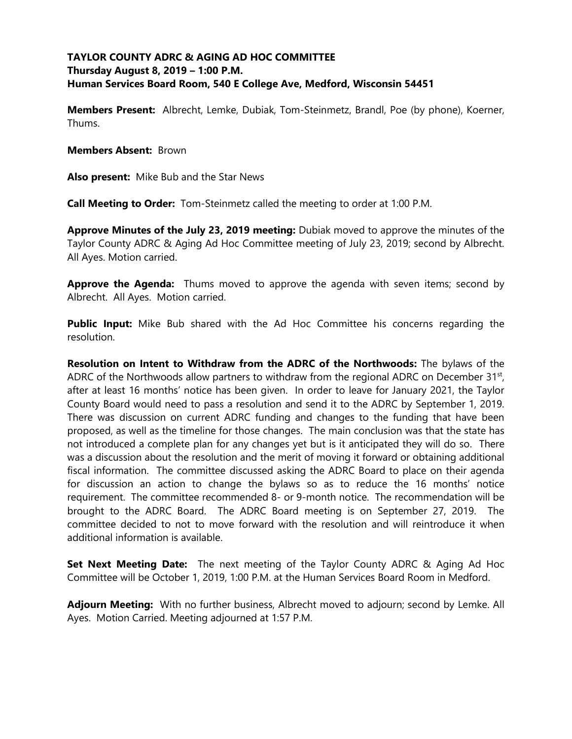# **TAYLOR COUNTY ADRC & AGING AD HOC COMMITTEE Thursday August 8, 2019 – 1:00 P.M. Human Services Board Room, 540 E College Ave, Medford, Wisconsin 54451**

**Members Present:** Albrecht, Lemke, Dubiak, Tom-Steinmetz, Brandl, Poe (by phone), Koerner, Thums.

**Members Absent:** Brown

**Also present:** Mike Bub and the Star News

**Call Meeting to Order:** Tom-Steinmetz called the meeting to order at 1:00 P.M.

**Approve Minutes of the July 23, 2019 meeting:** Dubiak moved to approve the minutes of the Taylor County ADRC & Aging Ad Hoc Committee meeting of July 23, 2019; second by Albrecht. All Ayes. Motion carried.

**Approve the Agenda:** Thums moved to approve the agenda with seven items; second by Albrecht. All Ayes. Motion carried.

**Public Input:** Mike Bub shared with the Ad Hoc Committee his concerns regarding the resolution.

**Resolution on Intent to Withdraw from the ADRC of the Northwoods:** The bylaws of the ADRC of the Northwoods allow partners to withdraw from the regional ADRC on December  $31<sup>st</sup>$ , after at least 16 months' notice has been given. In order to leave for January 2021, the Taylor County Board would need to pass a resolution and send it to the ADRC by September 1, 2019. There was discussion on current ADRC funding and changes to the funding that have been proposed, as well as the timeline for those changes. The main conclusion was that the state has not introduced a complete plan for any changes yet but is it anticipated they will do so. There was a discussion about the resolution and the merit of moving it forward or obtaining additional fiscal information. The committee discussed asking the ADRC Board to place on their agenda for discussion an action to change the bylaws so as to reduce the 16 months' notice requirement. The committee recommended 8- or 9-month notice. The recommendation will be brought to the ADRC Board. The ADRC Board meeting is on September 27, 2019. The committee decided to not to move forward with the resolution and will reintroduce it when additional information is available.

**Set Next Meeting Date:** The next meeting of the Taylor County ADRC & Aging Ad Hoc Committee will be October 1, 2019, 1:00 P.M. at the Human Services Board Room in Medford.

**Adjourn Meeting:** With no further business, Albrecht moved to adjourn; second by Lemke. All Ayes. Motion Carried. Meeting adjourned at 1:57 P.M.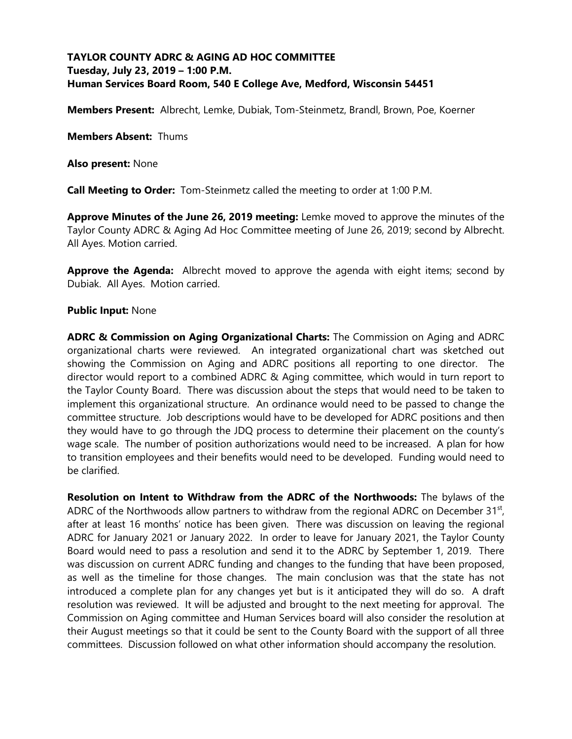# **TAYLOR COUNTY ADRC & AGING AD HOC COMMITTEE Tuesday, July 23, 2019 – 1:00 P.M. Human Services Board Room, 540 E College Ave, Medford, Wisconsin 54451**

**Members Present:** Albrecht, Lemke, Dubiak, Tom-Steinmetz, Brandl, Brown, Poe, Koerner

**Members Absent:** Thums

**Also present:** None

**Call Meeting to Order:** Tom-Steinmetz called the meeting to order at 1:00 P.M.

**Approve Minutes of the June 26, 2019 meeting:** Lemke moved to approve the minutes of the Taylor County ADRC & Aging Ad Hoc Committee meeting of June 26, 2019; second by Albrecht. All Ayes. Motion carried.

**Approve the Agenda:** Albrecht moved to approve the agenda with eight items; second by Dubiak. All Ayes. Motion carried.

#### **Public Input:** None

**ADRC & Commission on Aging Organizational Charts:** The Commission on Aging and ADRC organizational charts were reviewed. An integrated organizational chart was sketched out showing the Commission on Aging and ADRC positions all reporting to one director. The director would report to a combined ADRC & Aging committee, which would in turn report to the Taylor County Board. There was discussion about the steps that would need to be taken to implement this organizational structure. An ordinance would need to be passed to change the committee structure. Job descriptions would have to be developed for ADRC positions and then they would have to go through the JDQ process to determine their placement on the county's wage scale. The number of position authorizations would need to be increased. A plan for how to transition employees and their benefits would need to be developed. Funding would need to be clarified.

**Resolution on Intent to Withdraw from the ADRC of the Northwoods:** The bylaws of the ADRC of the Northwoods allow partners to withdraw from the regional ADRC on December 31<sup>st</sup>, after at least 16 months' notice has been given. There was discussion on leaving the regional ADRC for January 2021 or January 2022. In order to leave for January 2021, the Taylor County Board would need to pass a resolution and send it to the ADRC by September 1, 2019. There was discussion on current ADRC funding and changes to the funding that have been proposed, as well as the timeline for those changes. The main conclusion was that the state has not introduced a complete plan for any changes yet but is it anticipated they will do so. A draft resolution was reviewed. It will be adjusted and brought to the next meeting for approval. The Commission on Aging committee and Human Services board will also consider the resolution at their August meetings so that it could be sent to the County Board with the support of all three committees. Discussion followed on what other information should accompany the resolution.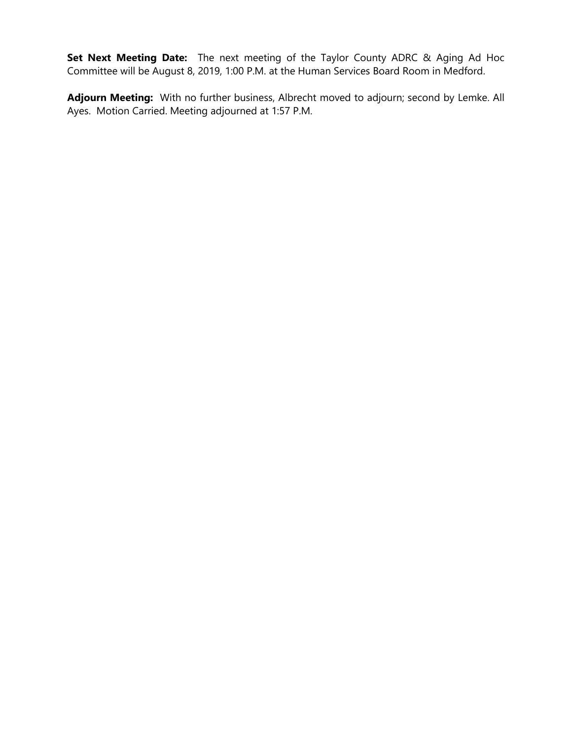**Set Next Meeting Date:** The next meeting of the Taylor County ADRC & Aging Ad Hoc Committee will be August 8, 2019, 1:00 P.M. at the Human Services Board Room in Medford.

**Adjourn Meeting:** With no further business, Albrecht moved to adjourn; second by Lemke. All Ayes. Motion Carried. Meeting adjourned at 1:57 P.M.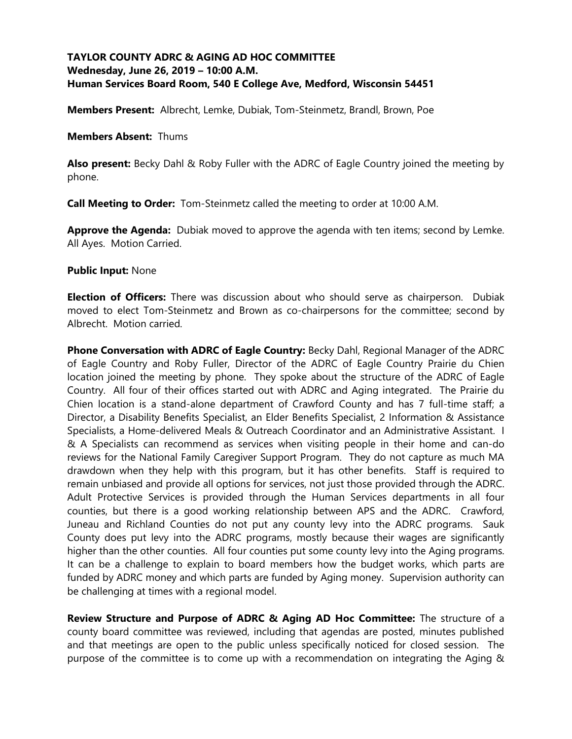## **TAYLOR COUNTY ADRC & AGING AD HOC COMMITTEE Wednesday, June 26, 2019 – 10:00 A.M. Human Services Board Room, 540 E College Ave, Medford, Wisconsin 54451**

**Members Present:** Albrecht, Lemke, Dubiak, Tom-Steinmetz, Brandl, Brown, Poe

#### **Members Absent:** Thums

**Also present:** Becky Dahl & Roby Fuller with the ADRC of Eagle Country joined the meeting by phone.

**Call Meeting to Order:** Tom-Steinmetz called the meeting to order at 10:00 A.M.

**Approve the Agenda:** Dubiak moved to approve the agenda with ten items; second by Lemke. All Ayes. Motion Carried.

#### **Public Input:** None

**Election of Officers:** There was discussion about who should serve as chairperson. Dubiak moved to elect Tom-Steinmetz and Brown as co-chairpersons for the committee; second by Albrecht. Motion carried.

**Phone Conversation with ADRC of Eagle Country:** Becky Dahl, Regional Manager of the ADRC of Eagle Country and Roby Fuller, Director of the ADRC of Eagle Country Prairie du Chien location joined the meeting by phone. They spoke about the structure of the ADRC of Eagle Country. All four of their offices started out with ADRC and Aging integrated. The Prairie du Chien location is a stand-alone department of Crawford County and has 7 full-time staff; a Director, a Disability Benefits Specialist, an Elder Benefits Specialist, 2 Information & Assistance Specialists, a Home-delivered Meals & Outreach Coordinator and an Administrative Assistant. I & A Specialists can recommend as services when visiting people in their home and can-do reviews for the National Family Caregiver Support Program. They do not capture as much MA drawdown when they help with this program, but it has other benefits. Staff is required to remain unbiased and provide all options for services, not just those provided through the ADRC. Adult Protective Services is provided through the Human Services departments in all four counties, but there is a good working relationship between APS and the ADRC. Crawford, Juneau and Richland Counties do not put any county levy into the ADRC programs. Sauk County does put levy into the ADRC programs, mostly because their wages are significantly higher than the other counties. All four counties put some county levy into the Aging programs. It can be a challenge to explain to board members how the budget works, which parts are funded by ADRC money and which parts are funded by Aging money. Supervision authority can be challenging at times with a regional model.

**Review Structure and Purpose of ADRC & Aging AD Hoc Committee:** The structure of a county board committee was reviewed, including that agendas are posted, minutes published and that meetings are open to the public unless specifically noticed for closed session. The purpose of the committee is to come up with a recommendation on integrating the Aging &